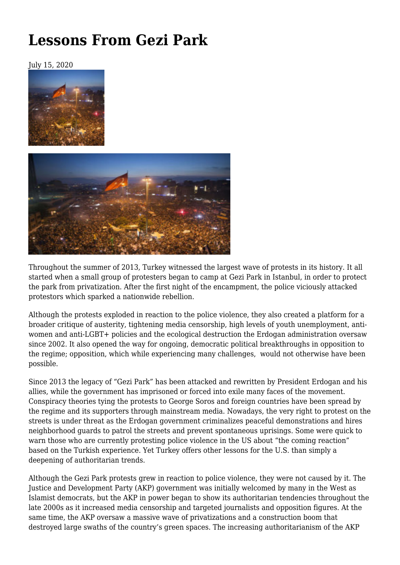## **[Lessons From Gezi Park](https://newpol.org/lessons-from-gezi-park/)**

July 15, 2020





Throughout the summer of 2013, Turkey witnessed the largest wave of protests in its history. It all started when a small group of protesters began to camp at Gezi Park in Istanbul, in order to protect the park from privatization. After the first night of the encampment, the police viciously attacked protestors which sparked a nationwide rebellion.

Although the protests exploded in reaction to the police violence, they also created a platform for a broader critique of austerity, tightening media censorship, high levels of youth unemployment, antiwomen and anti-LGBT+ policies and the ecological destruction the Erdogan administration oversaw since 2002. It also opened the way for ongoing, democratic political breakthroughs in opposition to the regime; opposition, which while experiencing many challenges, would not otherwise have been possible.

Since 2013 the legacy of "Gezi Park" has been attacked and rewritten by President Erdogan and his allies, while the government has imprisoned or forced into exile many faces of the movement. Conspiracy theories tying the protests to George Soros and foreign countries have been spread by the regime and its supporters through mainstream media. Nowadays, the very right to protest on the streets is under threat as the Erdogan government criminalizes peaceful demonstrations and hires neighborhood guards to patrol the streets and prevent spontaneous uprisings. Some were quick to warn those who are currently protesting police violence in the US about "the coming reaction" based on the Turkish experience. Yet Turkey offers other lessons for the U.S. than simply a deepening of authoritarian trends.

Although the Gezi Park protests grew in reaction to police violence, they were not caused by it. The Justice and Development Party (AKP) government was initially welcomed by many in the West as Islamist democrats, but the AKP in power began to show its authoritarian tendencies throughout the late 2000s as it increased media censorship and targeted journalists and opposition figures. At the same time, the AKP oversaw a massive wave of privatizations and a construction boom that destroyed large swaths of the country's green spaces. The increasing authoritarianism of the AKP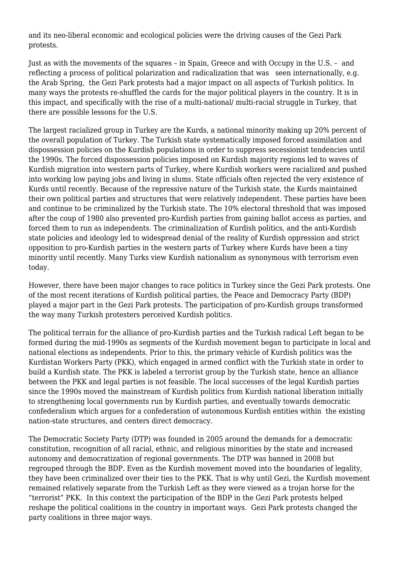and its neo-liberal economic and ecological policies were the driving causes of the Gezi Park protests.

Just as with the movements of the squares – in Spain, Greece and with Occupy in the U.S. – and reflecting a process of political polarization and radicalization that was seen internationally, e.g. the Arab Spring, the Gezi Park protests had a major impact on all aspects of Turkish politics. In many ways the protests re-shuffled the cards for the major political players in the country. It is in this impact, and specifically with the rise of a multi-national/ multi-racial struggle in Turkey, that there are possible lessons for the U.S.

The largest racialized group in Turkey are the Kurds, a national minority making up 20% percent of the overall population of Turkey. The Turkish state systematically imposed forced assimilation and dispossession policies on the Kurdish populations in order to suppress secessionist tendencies until the 1990s. The forced dispossession policies imposed on Kurdish majority regions led to waves of Kurdish migration into western parts of Turkey, where Kurdish workers were racialized and pushed into working low paying jobs and living in slums. State officials often rejected the very existence of Kurds until recently. Because of the repressive nature of the Turkish state, the Kurds maintained their own political parties and structures that were relatively independent. These parties have been and continue to be criminalized by the Turkish state. The 10% electoral threshold that was imposed after the coup of 1980 also prevented pro-Kurdish parties from gaining ballot access as parties, and forced them to run as independents. The criminalization of Kurdish politics, and the anti-Kurdish state policies and ideology led to widespread denial of the reality of Kurdish oppression and strict opposition to pro-Kurdish parties in the western parts of Turkey where Kurds have been a tiny minority until recently. Many Turks view Kurdish nationalism as synonymous with terrorism even today.

However, there have been major changes to race politics in Turkey since the Gezi Park protests. One of the most recent iterations of Kurdish political parties, the Peace and Democracy Party (BDP) played a major part in the Gezi Park protests. The participation of pro-Kurdish groups transformed the way many Turkish protesters perceived Kurdish politics.

The political terrain for the alliance of pro-Kurdish parties and the Turkish radical Left began to be formed during the mid-1990s as segments of the Kurdish movement began to participate in local and national elections as independents. Prior to this, the primary vehicle of Kurdish politics was the Kurdistan Workers Party (PKK), which engaged in armed conflict with the Turkish state in order to build a Kurdish state. The PKK is labeled a terrorist group by the Turkish state, hence an alliance between the PKK and legal parties is not feasible. The local successes of the legal Kurdish parties since the 1990s moved the mainstream of Kurdish politics from Kurdish national liberation initially to strengthening local governments run by Kurdish parties, and eventually towards democratic confederalism which argues for a confederation of autonomous Kurdish entities within the existing nation-state structures, and centers direct democracy.

The Democratic Society Party (DTP) was founded in 2005 around the demands for a democratic constitution, recognition of all racial, ethnic, and religious minorities by the state and increased autonomy and democratization of regional governments. The DTP was banned in 2008 but regrouped through the BDP. Even as the Kurdish movement moved into the boundaries of legality, they have been criminalized over their ties to the PKK. That is why until Gezi, the Kurdish movement remained relatively separate from the Turkish Left as they were viewed as a trojan horse for the "terrorist" PKK. In this context the participation of the BDP in the Gezi Park protests helped reshape the political coalitions in the country in important ways. Gezi Park protests changed the party coalitions in three major ways.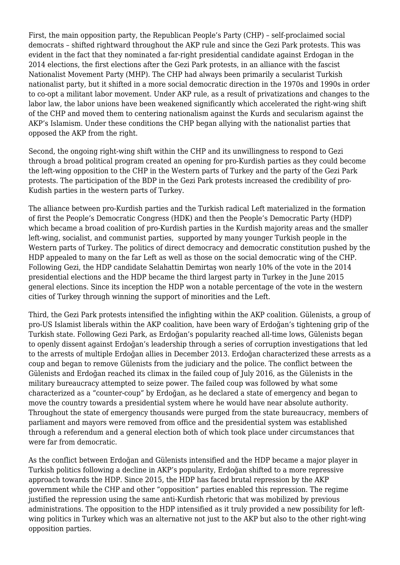First, the main opposition party, the Republican People's Party (CHP) – self-proclaimed social democrats – shifted rightward throughout the AKP rule and since the Gezi Park protests. This was evident in the fact that they nominated a far-right presidential candidate against Erdogan in the 2014 elections, the first elections after the Gezi Park protests, in an alliance with the fascist Nationalist Movement Party (MHP). The CHP had always been primarily a secularist Turkish nationalist party, but it shifted in a more social democratic direction in the 1970s and 1990s in order to co-opt a militant labor movement. Under AKP rule, as a result of privatizations and changes to the labor law, the labor unions have been weakened significantly which accelerated the right-wing shift of the CHP and moved them to centering nationalism against the Kurds and secularism against the AKP's Islamism. Under these conditions the CHP began allying with the nationalist parties that opposed the AKP from the right.

Second, the ongoing right-wing shift within the CHP and its unwillingness to respond to Gezi through a broad political program created an opening for pro-Kurdish parties as they could become the left-wing opposition to the CHP in the Western parts of Turkey and the party of the Gezi Park protests. The participation of the BDP in the Gezi Park protests increased the credibility of pro-Kudish parties in the western parts of Turkey.

The alliance between pro-Kurdish parties and the Turkish radical Left materialized in the formation of first the People's Democratic Congress (HDK) and then the People's Democratic Party (HDP) which became a broad coalition of pro-Kurdish parties in the Kurdish majority areas and the smaller left-wing, socialist, and communist parties, supported by many younger Turkish people in the Western parts of Turkey. The politics of direct democracy and democratic constitution pushed by the HDP appealed to many on the far Left as well as those on the social democratic wing of the CHP. Following Gezi, the HDP candidate Selahattin Demirtaş won nearly 10% of the vote in the 2014 presidential elections and the HDP became the third largest party in Turkey in the June 2015 general elections. Since its inception the HDP won a notable percentage of the vote in the western cities of Turkey through winning the support of minorities and the Left.

Third, the Gezi Park protests intensified the infighting within the AKP coalition. Gülenists, a group of pro-US Islamist liberals within the AKP coalition, have been wary of Erdoğan's tightening grip of the Turkish state. Following Gezi Park, as Erdoğan's popularity reached all-time lows, Gülenists began to openly dissent against Erdoğan's leadership through a series of corruption investigations that led to the arrests of multiple Erdoğan allies in December 2013. Erdoğan characterized these arrests as a coup and began to remove Gülenists from the judiciary and the police. The conflict between the Gülenists and Erdoğan reached its climax in the failed coup of July 2016, as the Gülenists in the military bureaucracy attempted to seize power. The failed coup was followed by what some characterized as a "counter-coup" by Erdoğan, as he declared a state of emergency and began to move the country towards a presidential system where he would have near absolute authority. Throughout the state of emergency thousands were purged from the state bureaucracy, members of parliament and mayors were removed from office and the presidential system was established through a referendum and a general election both of which took place under circumstances that were far from democratic.

As the conflict between Erdoğan and Gülenists intensified and the HDP became a major player in Turkish politics following a decline in AKP's popularity, Erdoğan shifted to a more repressive approach towards the HDP. Since 2015, the HDP has faced brutal repression by the AKP government while the CHP and other "opposition" parties enabled this repression. The regime justified the repression using the same anti-Kurdish rhetoric that was mobilized by previous administrations. The opposition to the HDP intensified as it truly provided a new possibility for leftwing politics in Turkey which was an alternative not just to the AKP but also to the other right-wing opposition parties.